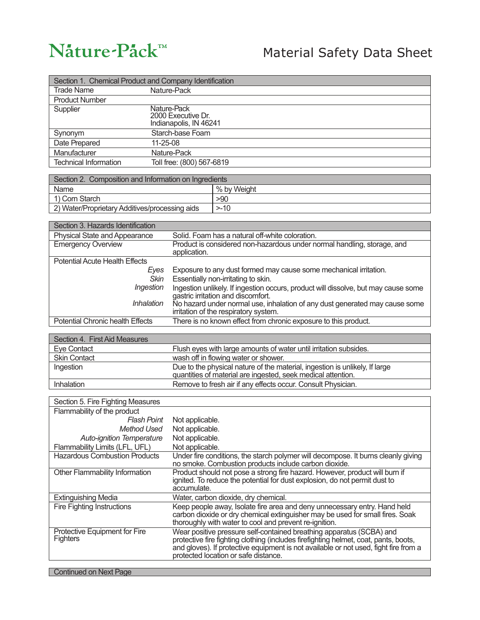## Nature-Pack™

## Material Safety Data Sheet

| Section 1. Chemical Product and Company Identification |                                                                                                                                                                                                                                                                                              |
|--------------------------------------------------------|----------------------------------------------------------------------------------------------------------------------------------------------------------------------------------------------------------------------------------------------------------------------------------------------|
| <b>Trade Name</b>                                      | Nature-Pack                                                                                                                                                                                                                                                                                  |
| <b>Product Number</b>                                  |                                                                                                                                                                                                                                                                                              |
| Supplier                                               | Nature-Pack                                                                                                                                                                                                                                                                                  |
|                                                        | 2000 Executive Dr.<br>Indianapolis, IN 46241                                                                                                                                                                                                                                                 |
|                                                        |                                                                                                                                                                                                                                                                                              |
| Synonym                                                | Starch-base Foam                                                                                                                                                                                                                                                                             |
| 11-25-08<br>Date Prepared                              |                                                                                                                                                                                                                                                                                              |
| Manufacturer                                           | Nature-Pack                                                                                                                                                                                                                                                                                  |
| <b>Technical Information</b>                           | Toll free: (800) 567-6819                                                                                                                                                                                                                                                                    |
| Section 2. Composition and Information on Ingredients  |                                                                                                                                                                                                                                                                                              |
| Name                                                   | % by Weight                                                                                                                                                                                                                                                                                  |
| 1) Corn Starch                                         | >90                                                                                                                                                                                                                                                                                          |
| 2) Water/Proprietary Additives/processing aids         | $> -10$                                                                                                                                                                                                                                                                                      |
|                                                        |                                                                                                                                                                                                                                                                                              |
| Section 3. Hazards Identification                      |                                                                                                                                                                                                                                                                                              |
| <b>Physical State and Appearance</b>                   | Solid. Foam has a natural off-white coloration.                                                                                                                                                                                                                                              |
| <b>Emergency Overview</b>                              | Product is considered non-hazardous under normal handling, storage, and                                                                                                                                                                                                                      |
|                                                        | application.                                                                                                                                                                                                                                                                                 |
| <b>Potential Acute Health Effects</b>                  |                                                                                                                                                                                                                                                                                              |
| Eyes                                                   | Exposure to any dust formed may cause some mechanical irritation.                                                                                                                                                                                                                            |
| Skin                                                   | Essentially non-irritating to skin.                                                                                                                                                                                                                                                          |
| Ingestion                                              | Ingestion unlikely. If ingestion occurs, product will dissolve, but may cause some<br>gastric irritation and discomfort.                                                                                                                                                                     |
| <b>Inhalation</b>                                      | No hazard under normal use, inhalation of any dust generated may cause some                                                                                                                                                                                                                  |
|                                                        | irritation of the respiratory system.                                                                                                                                                                                                                                                        |
| <b>Potential Chronic health Effects</b>                | There is no known effect from chronic exposure to this product.                                                                                                                                                                                                                              |
|                                                        |                                                                                                                                                                                                                                                                                              |
| Section 4. First Aid Measures                          |                                                                                                                                                                                                                                                                                              |
| <b>Eye Contact</b>                                     | Flush eyes with large amounts of water until irritation subsides.                                                                                                                                                                                                                            |
| <b>Skin Contact</b>                                    | wash off in flowing water or shower.                                                                                                                                                                                                                                                         |
| Ingestion                                              | Due to the physical nature of the material, ingestion is unlikely, If large                                                                                                                                                                                                                  |
|                                                        | quantities of material are ingested, seek medical attention.                                                                                                                                                                                                                                 |
| Inhalation                                             | Remove to fresh air if any effects occur. Consult Physician.                                                                                                                                                                                                                                 |
| Section 5. Fire Fighting Measures                      |                                                                                                                                                                                                                                                                                              |
| Flammability of the product                            |                                                                                                                                                                                                                                                                                              |
| <b>Flash Point</b>                                     | Not applicable.                                                                                                                                                                                                                                                                              |
| <b>Method Used</b>                                     | Not applicable.                                                                                                                                                                                                                                                                              |
| <b>Auto-ignition Temperature</b>                       | Not applicable.                                                                                                                                                                                                                                                                              |
| Flammability Limits (LFL, UFL)                         | Not applicable.                                                                                                                                                                                                                                                                              |
| <b>Hazardous Combustion Products</b>                   | Under fire conditions, the starch polymer will decompose. It burns cleanly giving<br>no smoke. Combustion products include carbon dioxide.                                                                                                                                                   |
| Other Flammability Information                         | Product should not pose a strong fire hazard. However, product will burn if<br>ignited. To reduce the potential for dust explosion, do not permit dust to<br>accumulate.                                                                                                                     |
| <b>Extinguishing Media</b>                             | Water, carbon dioxide, dry chemical.                                                                                                                                                                                                                                                         |
| <b>Fire Fighting Instructions</b>                      | Keep people away, Isolate fire area and deny unnecessary entry. Hand held<br>carbon dioxide or dry chemical extinguisher may be used for small fires. Soak<br>thoroughly with water to cool and prevent re-ignition.                                                                         |
| Protective Equipment for Fire<br><b>Fighters</b>       | Wear positive pressure self-contained breathing apparatus (SCBA) and<br>protective fire fighting clothing (includes firefighting helmet, coat, pants, boots,<br>and gloves). If protective equipment is not available or not used, fight fire from a<br>protected location or safe distance. |
| <b>Continued on Next Page</b>                          |                                                                                                                                                                                                                                                                                              |

**Continued on Next Page**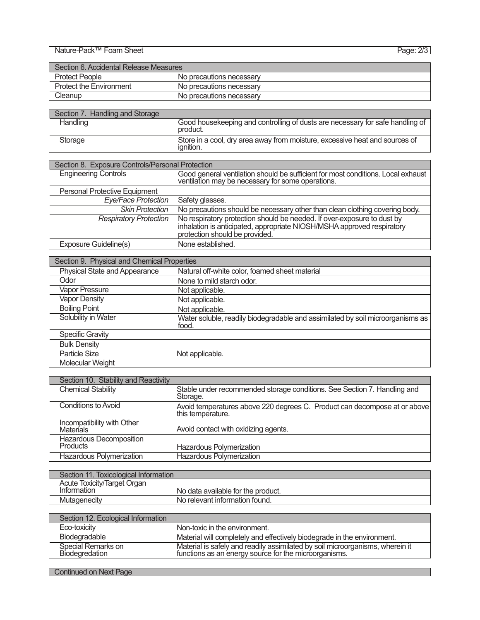Nature-Pack™ Foam Sheet Page: 2/3

| Section 6. Accidental Release Measures |                          |
|----------------------------------------|--------------------------|
| <b>Protect People</b>                  | No precautions necessary |
| <b>Protect the Environment</b>         | No precautions necessary |
| Cleanup                                | No precautions necessary |

| Section 7. Handling and Storage |                                                                                                 |
|---------------------------------|-------------------------------------------------------------------------------------------------|
| Handling                        | Good housekeeping and controlling of dusts are necessary for safe handling of<br>product.       |
| Storage                         | Store in a cool, dry area away from moisture, excessive heat and sources of<br><i>ignition.</i> |

| Section 8. Exposure Controls/Personal Protection |                                                                                                                                                                                     |
|--------------------------------------------------|-------------------------------------------------------------------------------------------------------------------------------------------------------------------------------------|
| <b>Engineering Controls</b>                      | Good general ventilation should be sufficient for most conditions. Local exhaust ventilation may be necessary for some operations.                                                  |
| <b>Personal Protective Equipment</b>             |                                                                                                                                                                                     |
| Eye/Face Protection                              | Safety glasses.                                                                                                                                                                     |
| <b>Skin Protection</b>                           | No precautions should be necessary other than clean clothing covering body.                                                                                                         |
| <b>Respiratory Protection</b>                    | No respiratory protection should be needed. If over-exposure to dust by<br>inhalation is anticipated, appropriate NIOSH/MSHA approved respiratory<br>protection should be provided. |
| Exposure Guideline(s)                            | None established.                                                                                                                                                                   |

| Section 9. Physical and Chemical Properties |                                                                                         |
|---------------------------------------------|-----------------------------------------------------------------------------------------|
| Physical State and Appearance               | Natural off-white color, foamed sheet material                                          |
| Odor                                        | None to mild starch odor.                                                               |
| Vapor Pressure                              | Not applicable.                                                                         |
| <b>Vapor Density</b>                        | Not applicable.                                                                         |
| <b>Boiling Point</b>                        | Not applicable.                                                                         |
| Solubility in Water                         | Water soluble, readily biodegradable and assimilated by soil microorganisms as<br>food. |
| <b>Specific Gravity</b>                     |                                                                                         |
| <b>Bulk Density</b>                         |                                                                                         |
| <b>Particle Size</b>                        | Not applicable.                                                                         |
| Molecular Weight                            |                                                                                         |

| Section 10. Stability and Reactivity       |                                                                                                |
|--------------------------------------------|------------------------------------------------------------------------------------------------|
| <b>Chemical Stability</b>                  | Stable under recommended storage conditions. See Section 7. Handling and<br>Storage.           |
| Conditions to Avoid                        | Avoid temperatures above 220 degrees C. Product can decompose at or above<br>this temperature. |
| Incompatibility with Other<br>Materials    | Avoid contact with oxidizing agents.                                                           |
| Hazardous Decomposition<br><b>Products</b> | Hazardous Polymerization                                                                       |
| Hazardous Polymerization                   | Hazardous Polymerization                                                                       |

| Section 11. Toxicological Information |                                    |
|---------------------------------------|------------------------------------|
| Acute Toxicity/Target Organ           |                                    |
| Information                           | No data available for the product. |
| Mutagenecity                          | No relevant information found.     |

| Section 12. Ecological Information   |                                                                                                                                     |
|--------------------------------------|-------------------------------------------------------------------------------------------------------------------------------------|
| Eco-toxicity                         | Non-toxic in the environment.                                                                                                       |
| Biodegradable                        | Material will completely and effectively biodegrade in the environment.                                                             |
| Special Remarks on<br>Biodegredation | Material is safely and readily assimilated by soil microorganisms, wherein it functions as an energy source for the microorganisms. |

**Continued on Next Page**